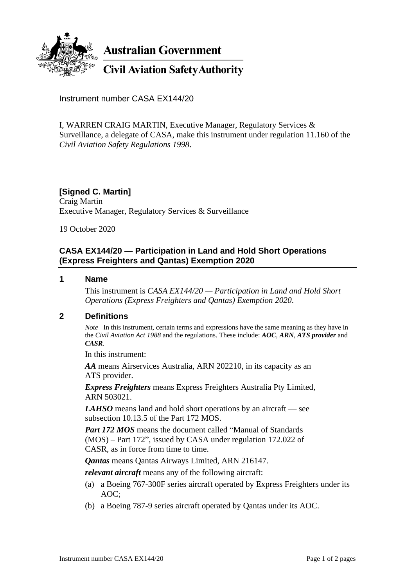

**Australian Government** 

**Civil Aviation Safety Authority** 

Instrument number CASA EX144/20

I, WARREN CRAIG MARTIN, Executive Manager, Regulatory Services & Surveillance, a delegate of CASA, make this instrument under regulation 11.160 of the *Civil Aviation Safety Regulations 1998*.

**[Signed C. Martin]** Craig Martin Executive Manager, Regulatory Services & Surveillance

19 October 2020

# **CASA EX144/20 — Participation in Land and Hold Short Operations (Express Freighters and Qantas) Exemption 2020**

#### **1 Name**

This instrument is *CASA EX144/20 — Participation in Land and Hold Short Operations (Express Freighters and Qantas) Exemption 2020*.

## **2 Definitions**

*Note* In this instrument, certain terms and expressions have the same meaning as they have in the *Civil Aviation Act 1988* and the regulations. These include: *AOC*, *ARN*, *ATS provider* and *CASR*.

In this instrument:

*AA* means Airservices Australia, ARN 202210, in its capacity as an ATS provider.

*Express Freighters* means Express Freighters Australia Pty Limited, ARN 503021.

*LAHSO* means land and hold short operations by an aircraft — see subsection 10.13.5 of the Part 172 MOS.

*Part 172 MOS* means the document called "Manual of Standards (MOS) – Part 172", issued by CASA under regulation 172.022 of CASR, as in force from time to time.

*Qantas* means Qantas Airways Limited, ARN 216147.

*relevant aircraft* means any of the following aircraft:

- (a) a Boeing 767-300F series aircraft operated by Express Freighters under its AOC;
- (b) a Boeing 787-9 series aircraft operated by Qantas under its AOC.